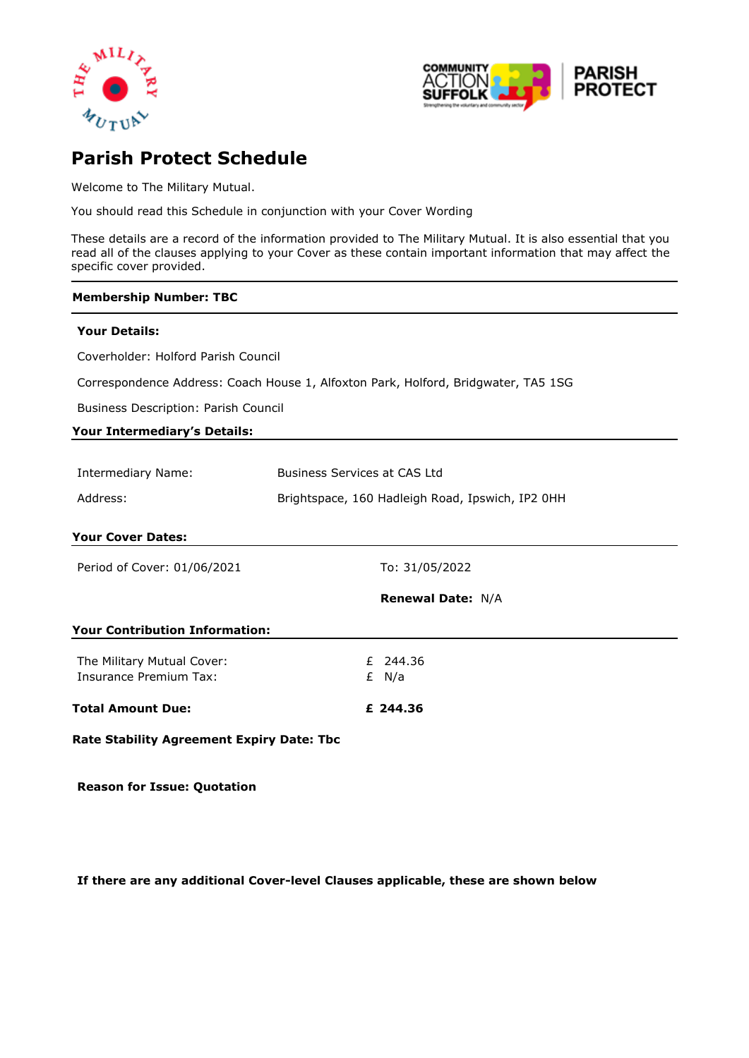



# **Parish Protect Schedule**

Welcome to The Military Mutual.

You should read this Schedule in conjunction with your Cover Wording

These details are a record of the information provided to The Military Mutual. It is also essential that you read all of the clauses applying to your Cover as these contain important information that may affect the specific cover provided.

#### **Membership Number: TBC**

#### **Your Details:**

Coverholder: Holford Parish Council

Correspondence Address: Coach House 1, Alfoxton Park, Holford, Bridgwater, TA5 1SG

Business Description: Parish Council

#### **Your Intermediary's Details:**

| Intermediary Name: | Business Services at CAS Ltd                     |
|--------------------|--------------------------------------------------|
| Address:           | Brightspace, 160 Hadleigh Road, Ipswich, IP2 0HH |

#### **Your Cover Dates:**

Period of Cover: 01/06/2021 To: 31/05/2022

**Renewal Date:** N/A

#### **Your Contribution Information:**

| Total Amount Due:          | £ 244.36 |
|----------------------------|----------|
| Insurance Premium Tax:     | £ N/a    |
| The Military Mutual Cover: | £ 244.36 |

**Rate Stability Agreement Expiry Date: Tbc**

**Reason for Issue: Quotation**

**If there are any additional Cover-level Clauses applicable, these are shown below**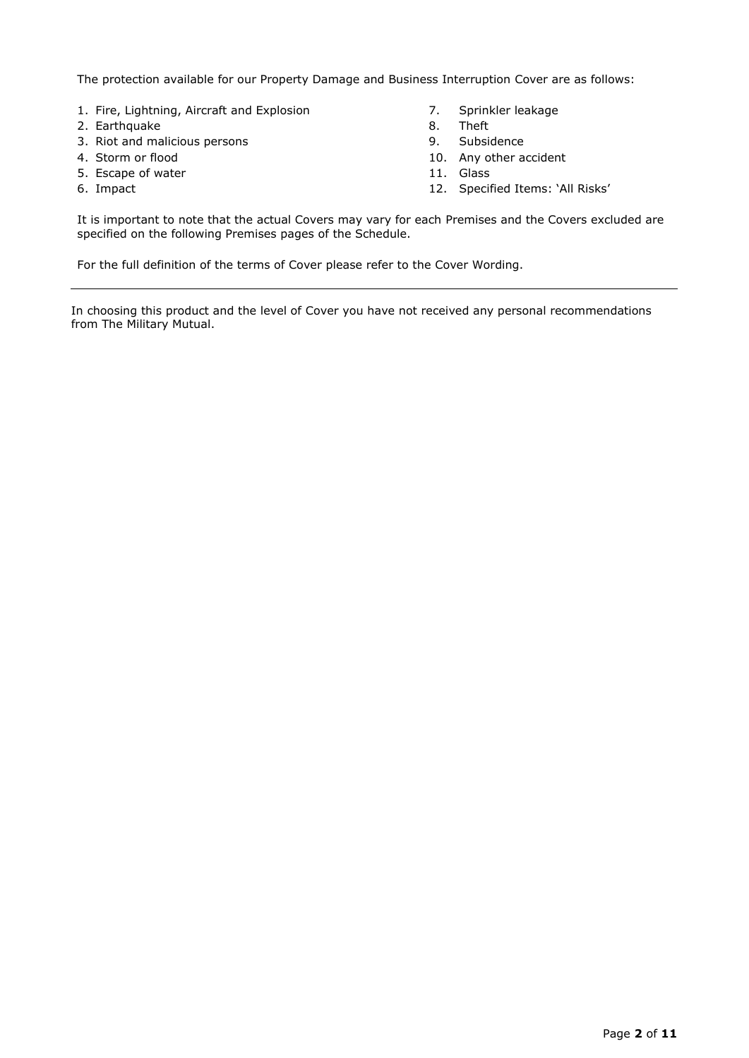The protection available for our Property Damage and Business Interruption Cover are as follows:

- 1. Fire, Lightning, Aircraft and Explosion **7.** Sprinkler leakage<br>2. Earthquake 2. Sprinkler leakage
- 2. Earthquake 8.
- 3. Riot and malicious persons and the series of the series of the Subsidence of the Subsidence
- 
- 5. Escape of water 11. Glass
- 
- 
- 
- 
- 4. Storm or flood 10. Any other accident
	-
- 6. Impact 12. Specified Items: 'All Risks'

It is important to note that the actual Covers may vary for each Premises and the Covers excluded are specified on the following Premises pages of the Schedule.

For the full definition of the terms of Cover please refer to the Cover Wording.

In choosing this product and the level of Cover you have not received any personal recommendations from The Military Mutual.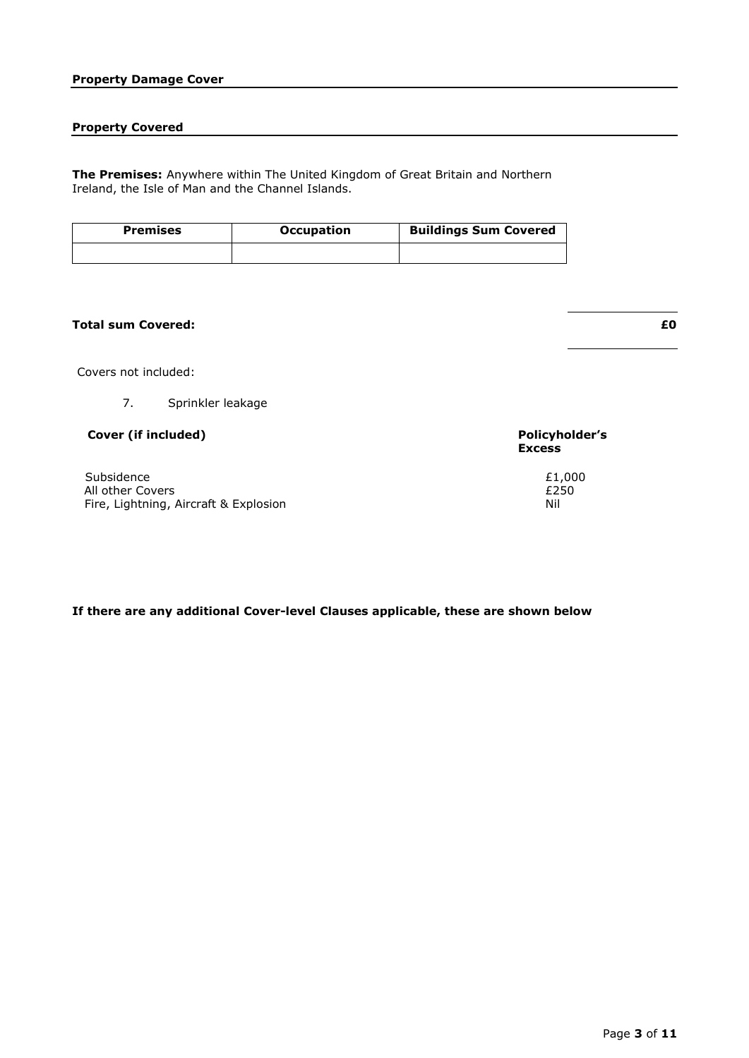# **Property Damage Cover**

# **Property Covered**

**The Premises:** Anywhere within The United Kingdom of Great Britain and Northern Ireland, the Isle of Man and the Channel Islands.

| <b>Premises</b> | <b>Occupation</b> | <b>Buildings Sum Covered</b> |
|-----------------|-------------------|------------------------------|
|                 |                   |                              |

# **Total sum Covered: £0**

Covers not included:

7. Sprinkler leakage

# **C Cover (if included) Policyholder's**

 $\epsilon$ Subsidence  $\epsilon$ 1,000 All other Covers All other Covers Fire, Lightning, Aircraft & Explosion Nil

# **Excess**

**If there are any additional Cover-level Clauses applicable, these are shown below**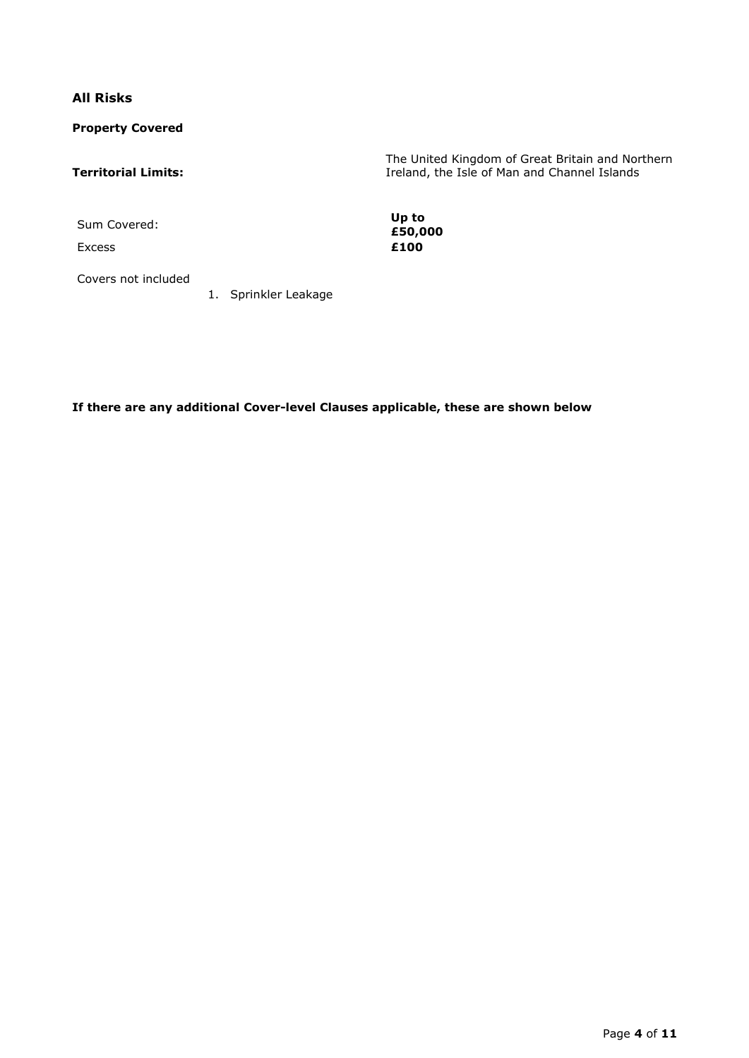**All Risks**

**Property Covered**

# **Territorial Limits:**

The United Kingdom of Great Britain and Northern Ireland, the Isle of Man and Channel Islands

Sum Covered: **Up to** 

Excess **£100**

**£50,000**

Covers not included

1. Sprinkler Leakage

**If there are any additional Cover-level Clauses applicable, these are shown below**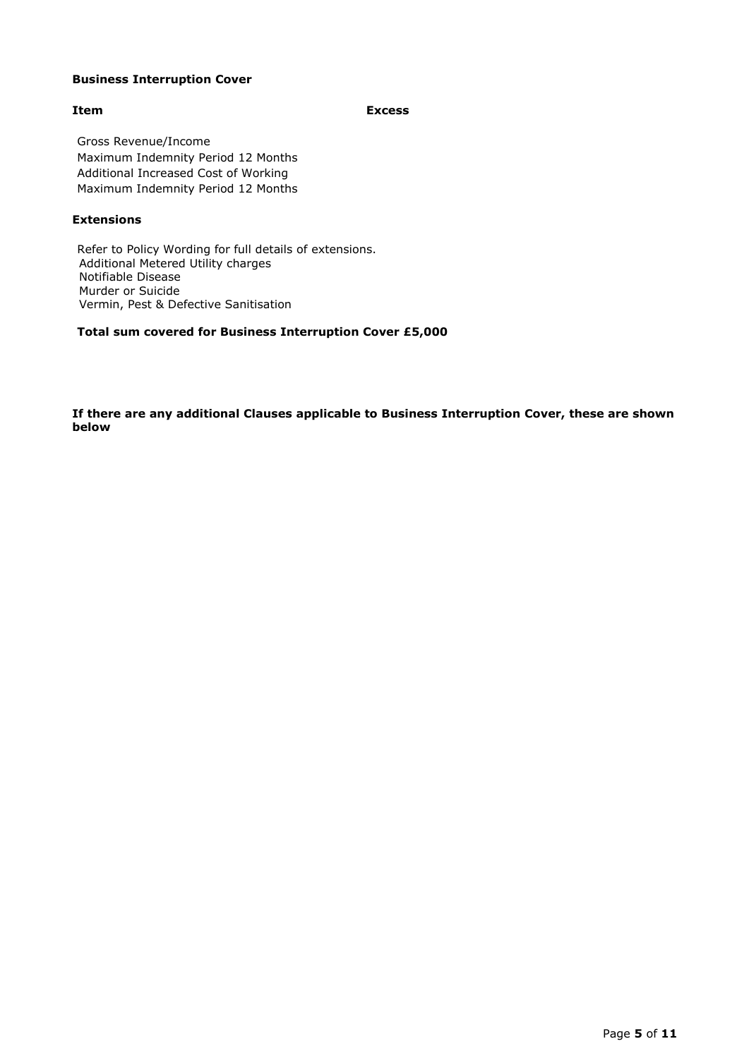#### **Business Interruption Cover**

**Item Excess** 

Gross Revenue/Income Maximum Indemnity Period 12 Months Additional Increased Cost of Working Maximum Indemnity Period 12 Months

#### **Extensions**

Refer to Policy Wording for full details of extensions. Additional Metered Utility charges Notifiable Disease Murder or Suicide Vermin, Pest & Defective Sanitisation

**Total sum covered for Business Interruption Cover £5,000**

**If there are any additional Clauses applicable to Business Interruption Cover, these are shown below**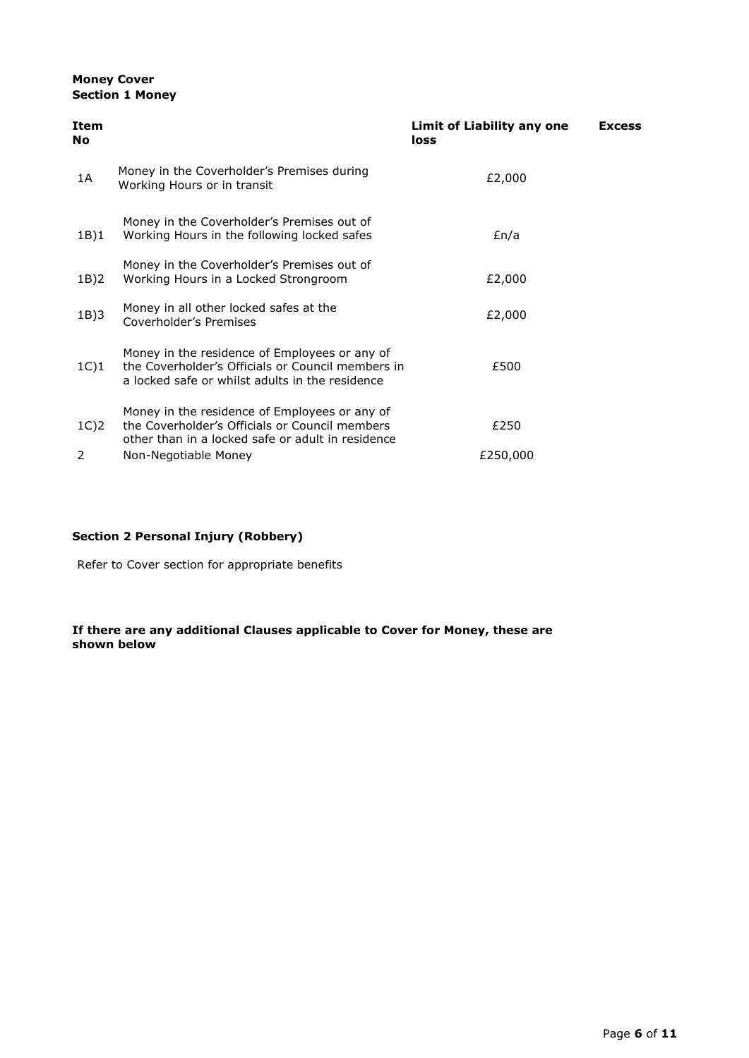### **Money Cover Section 1 Money**

| Item<br>No |                                                                                                                                                       | Limit of Liability any one<br>loss | <b>Excess</b> |
|------------|-------------------------------------------------------------------------------------------------------------------------------------------------------|------------------------------------|---------------|
| 1A         | Money in the Coverholder's Premises during<br>Working Hours or in transit                                                                             | £2,000                             |               |
| 1B)1       | Money in the Coverholder's Premises out of<br>Working Hours in the following locked safes                                                             | En/a                               |               |
| 1B)2       | Money in the Coverholder's Premises out of<br>Working Hours in a Locked Strongroom                                                                    | £2,000                             |               |
| 1B)3       | Money in all other locked safes at the<br>Coverholder's Premises                                                                                      | £2,000                             |               |
| 1C)1       | Money in the residence of Employees or any of<br>the Coverholder's Officials or Council members in<br>a locked safe or whilst adults in the residence | £500                               |               |
| $1C$ ) $2$ | Money in the residence of Employees or any of<br>the Coverholder's Officials or Council members<br>other than in a locked safe or adult in residence  | £250                               |               |
| 2          | Non-Negotiable Money                                                                                                                                  | £250,000                           |               |

# **Section 2 Personal Injury (Robbery)**

Refer to Cover section for appropriate benefits

#### **If there are any additional Clauses applicable to Cover for Money, these are shown below**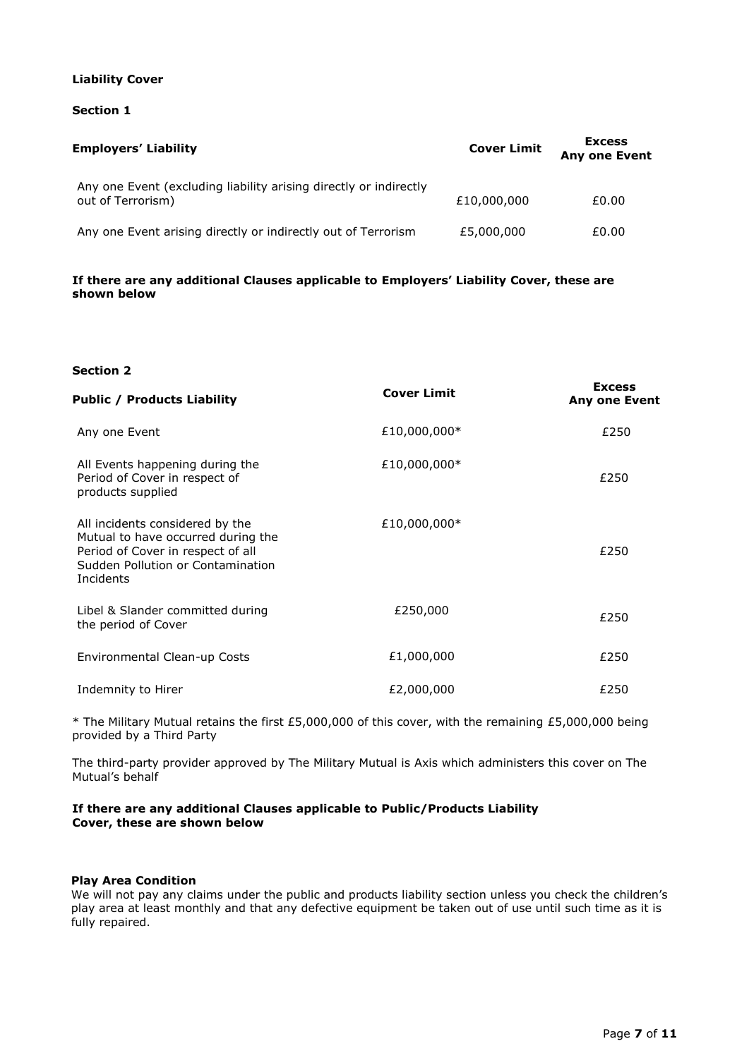#### **Liability Cover**

#### **Section 1**

| <b>Employers' Liability</b>                                                            | <b>Cover Limit</b> | <b>Excess</b><br><b>Any one Event</b> |  |
|----------------------------------------------------------------------------------------|--------------------|---------------------------------------|--|
| Any one Event (excluding liability arising directly or indirectly<br>out of Terrorism) | £10,000,000        | £0.00                                 |  |
| Any one Event arising directly or indirectly out of Terrorism                          | £5,000,000         | £0.00                                 |  |

#### **If there are any additional Clauses applicable to Employers' Liability Cover, these are shown below**

#### **Section 2**

| <b>Public / Products Liability</b>                                                                                                                           | <b>Cover Limit</b> | <b>Excess</b><br>Any one Event |
|--------------------------------------------------------------------------------------------------------------------------------------------------------------|--------------------|--------------------------------|
| Any one Event                                                                                                                                                | £10,000,000*       | £250                           |
| All Events happening during the<br>Period of Cover in respect of<br>products supplied                                                                        | £10,000,000*       | £250                           |
| All incidents considered by the<br>Mutual to have occurred during the<br>Period of Cover in respect of all<br>Sudden Pollution or Contamination<br>Incidents | £10,000,000*       | £250                           |
| Libel & Slander committed during<br>the period of Cover                                                                                                      | £250,000           | £250                           |
| Environmental Clean-up Costs                                                                                                                                 | £1,000,000         | £250                           |
| Indemnity to Hirer                                                                                                                                           | £2,000,000         | £250                           |

\* The Military Mutual retains the first £5,000,000 of this cover, with the remaining £5,000,000 being provided by a Third Party

The third-party provider approved by The Military Mutual is Axis which administers this cover on The Mutual's behalf

#### **If there are any additional Clauses applicable to Public/Products Liability Cover, these are shown below**

#### **Play Area Condition**

We will not pay any claims under the public and products liability section unless you check the children's play area at least monthly and that any defective equipment be taken out of use until such time as it is fully repaired.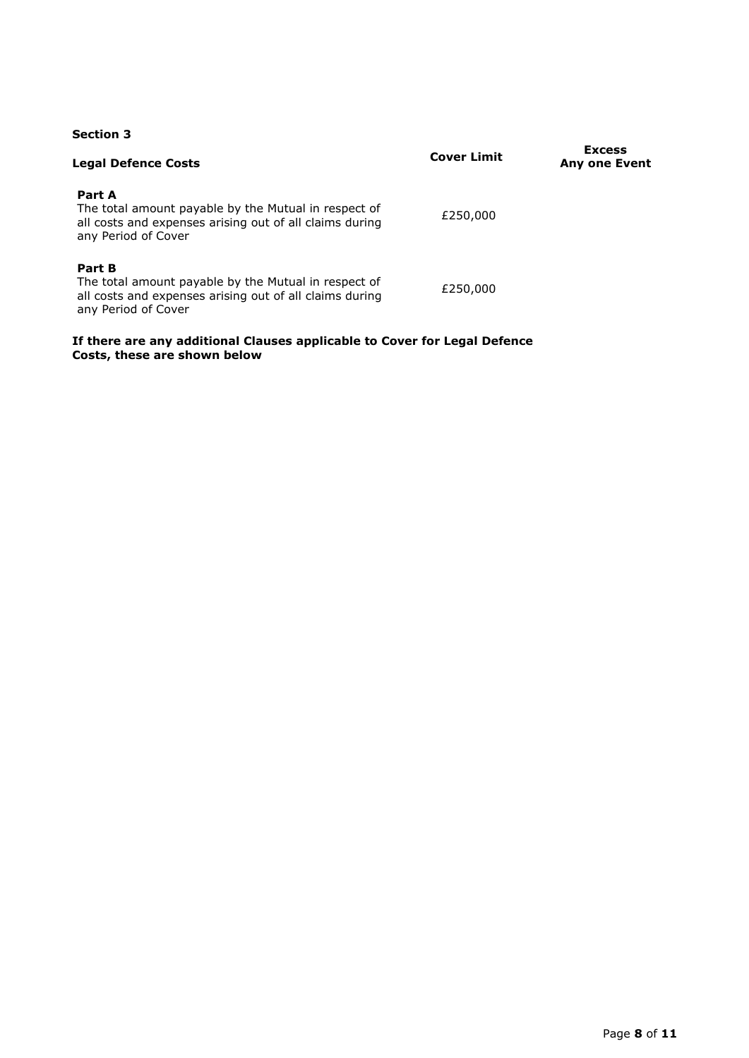# **Section 3**

| <b>Legal Defence Costs</b>                                                                                                                       | <b>Cover Limit</b> | <b>Excess</b><br><b>Any one Event</b> |
|--------------------------------------------------------------------------------------------------------------------------------------------------|--------------------|---------------------------------------|
| Part A<br>The total amount payable by the Mutual in respect of<br>all costs and expenses arising out of all claims during<br>any Period of Cover | £250,000           |                                       |
| Part B<br>The total amount payable by the Mutual in respect of<br>all costs and expenses arising out of all claims during<br>any Period of Cover | £250,000           |                                       |

#### **If there are any additional Clauses applicable to Cover for Legal Defence Costs, these are shown below**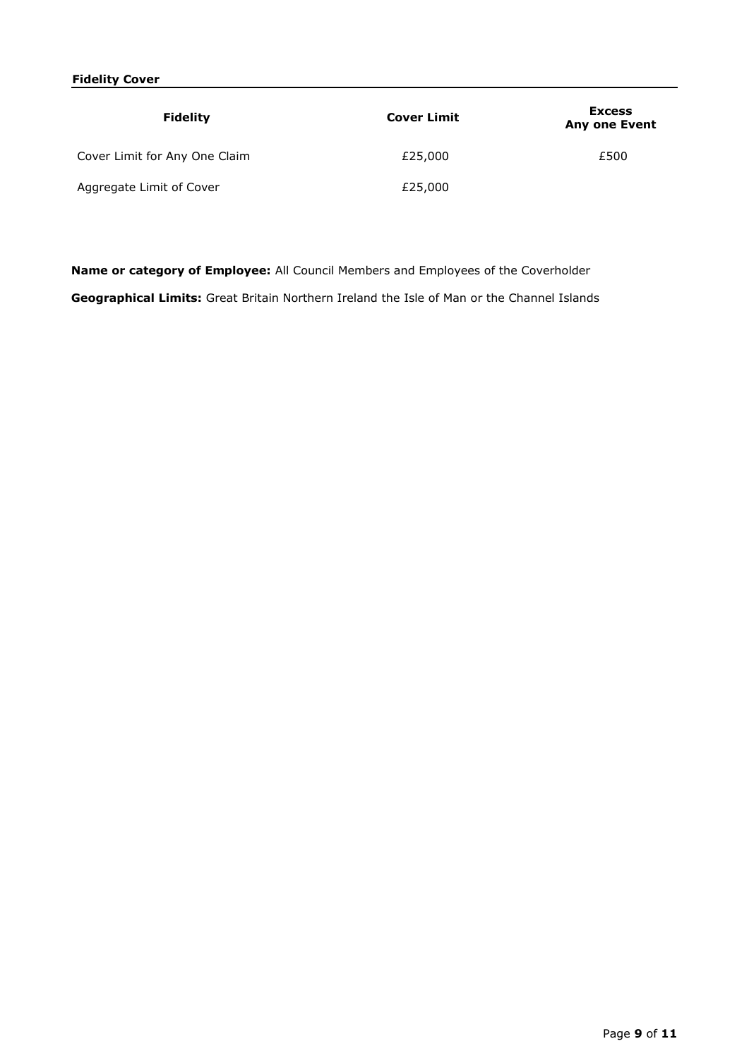# **Fidelity Cover**

| <b>Fidelity</b>               | <b>Cover Limit</b> | <b>Excess</b><br><b>Any one Event</b> |
|-------------------------------|--------------------|---------------------------------------|
| Cover Limit for Any One Claim | £25,000            | £500                                  |
| Aggregate Limit of Cover      | £25,000            |                                       |

**Name or category of Employee:** All Council Members and Employees of the Coverholder

**Geographical Limits:** Great Britain Northern Ireland the Isle of Man or the Channel Islands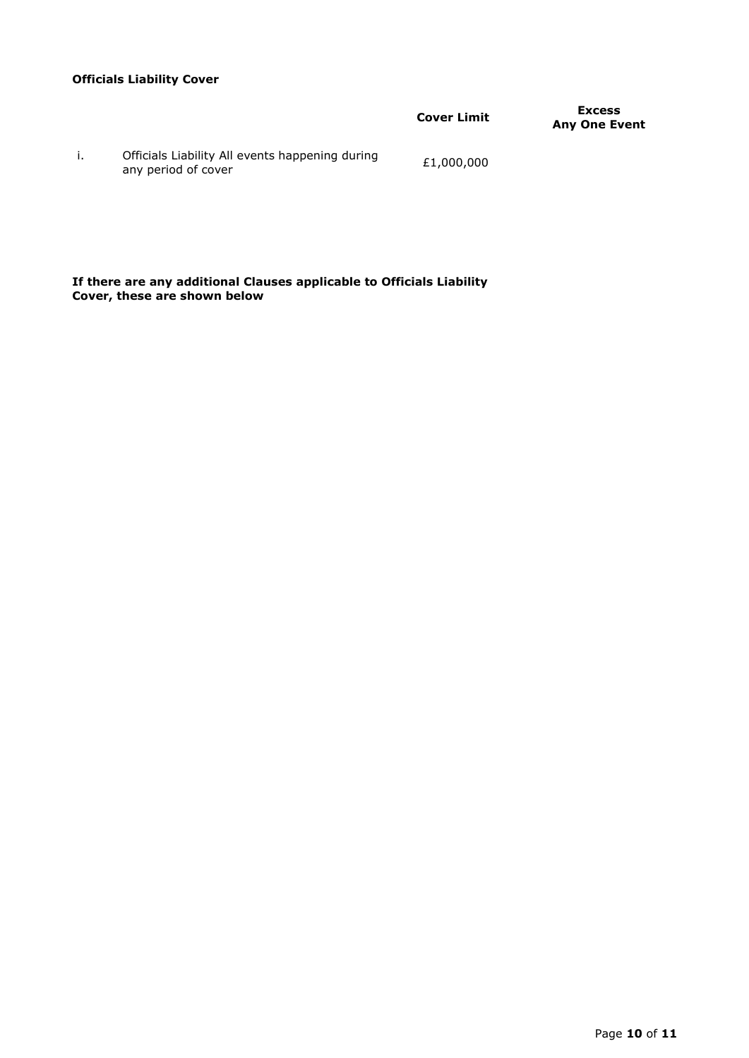# **Officials Liability Cover**

|                                                                        | <b>Cover Limit</b> | <b>Excess</b><br><b>Any One Event</b> |
|------------------------------------------------------------------------|--------------------|---------------------------------------|
| Officials Liability All events happening during<br>any period of cover | £1,000,000         |                                       |

**If there are any additional Clauses applicable to Officials Liability Cover, these are shown below**